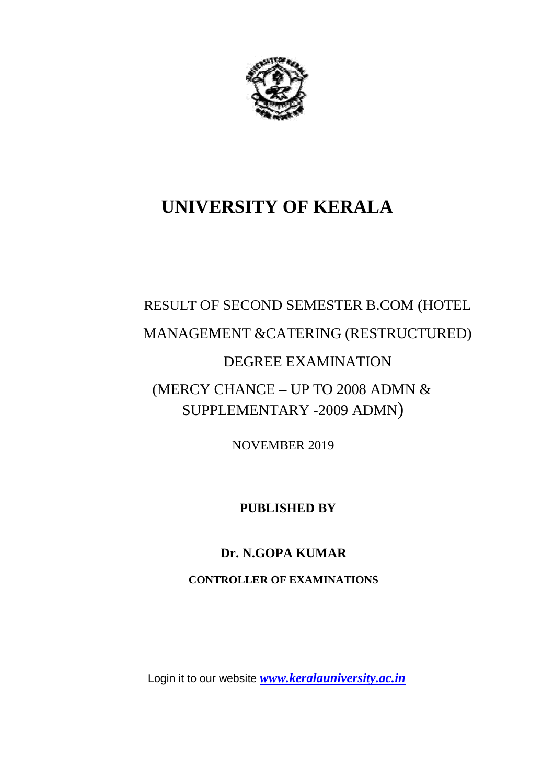

## **UNIVERSITY OF KERALA**

## RESULT OF SECOND SEMESTER B.COM (HOTEL MANAGEMENT &CATERING (RESTRUCTURED) DEGREE EXAMINATION (MERCY CHANCE – UP TO 2008 ADMN  $&$ SUPPLEMENTARY -2009 ADMN)

NOVEMBER 2019

 **PUBLISHED BY**

**Dr. N.GOPA KUMAR**

**CONTROLLER OF EXAMINATIONS**

Login it to our website *www.keralauniversity.ac.in*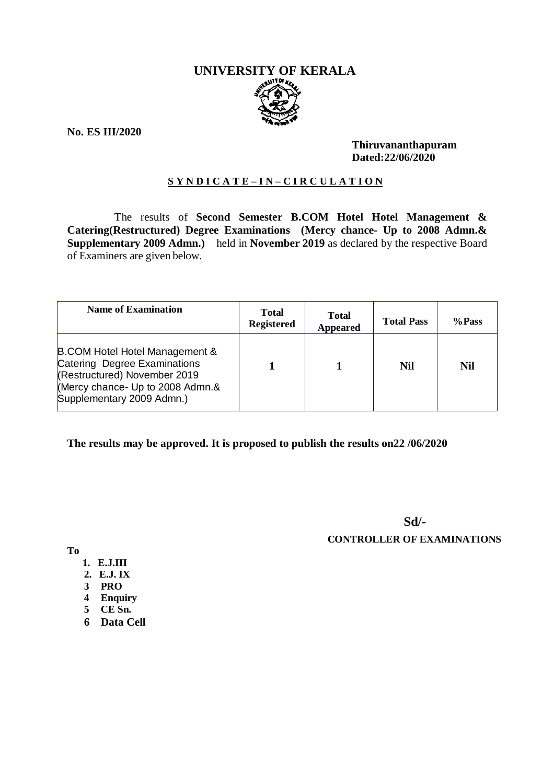# **UNIVERSITY OF KERALA**

**No. ES III/2020**

#### **Thiruvananthapuram Dated:22/06/2020**

#### **S Y N D I C A T E – I N – C I R C U L A T I O N**

 The results of **Second Semester B.COM Hotel Hotel Management & Catering(Restructured) Degree Examinations (Mercy chance- Up to 2008 Admn.& Supplementary 2009 Admn.)** held in **November 2019** as declared by the respective Board of Examiners are given below.

| <b>Name of Examination</b>                                                                                                                                                 | <b>Total</b><br><b>Registered</b> | <b>Total</b><br><b>Appeared</b> | <b>Total Pass</b> | %Pass      |
|----------------------------------------------------------------------------------------------------------------------------------------------------------------------------|-----------------------------------|---------------------------------|-------------------|------------|
| <b>B.COM Hotel Hotel Management &amp;</b><br>Catering Degree Examinations<br>(Restructured) November 2019<br>(Mercy chance- Up to 2008 Admn.&<br>Supplementary 2009 Admn.) |                                   |                                 | Nil               | <b>Nil</b> |

#### **The results may be approved. It is proposed to publish the results on22 /06/2020**

**Sd/- CONTROLLER OF EXAMINATIONS**

**To**

- **1. E.J.III**
- **2. E.J. IX**
- **3 PRO**
- **4 Enquiry**
- **5 CE Sn.**
- **6 Data Cell**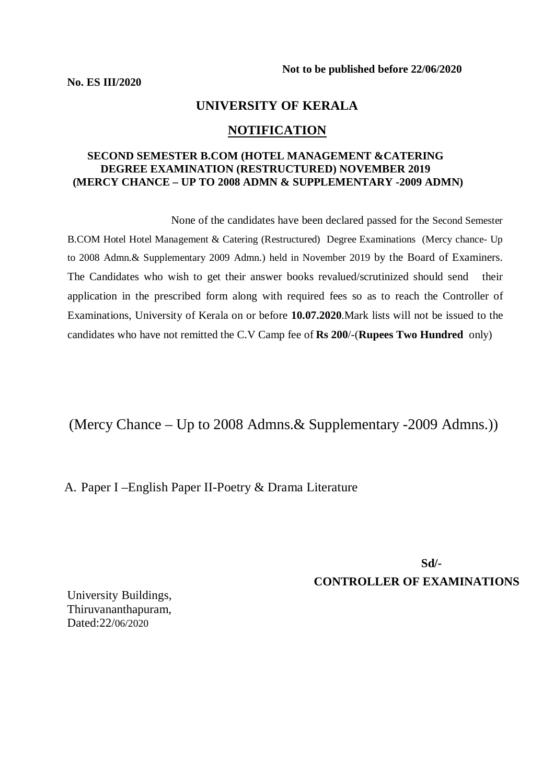#### **UNIVERSITY OF KERALA**

#### **NOTIFICATION**

#### **SECOND SEMESTER B.COM (HOTEL MANAGEMENT &CATERING DEGREE EXAMINATION (RESTRUCTURED) NOVEMBER 2019 (MERCY CHANCE – UP TO 2008 ADMN & SUPPLEMENTARY -2009 ADMN)**

 None of the candidates have been declared passed for the Second Semester B.COM Hotel Hotel Management & Catering (Restructured) Degree Examinations (Mercy chance- Up to 2008 Admn.& Supplementary 2009 Admn.) held in November 2019 by the Board of Examiners. The Candidates who wish to get their answer books revalued/scrutinized should send their application in the prescribed form along with required fees so as to reach the Controller of Examinations, University of Kerala on or before **10.07.2020**.Mark lists will not be issued to the candidates who have not remitted the C.V Camp fee of **Rs 200**/-(**Rupees Two Hundred** only)

(Mercy Chance – Up to 2008 Admns.& Supplementary -2009 Admns.))

A. Paper I –English Paper II-Poetry & Drama Literature

**Sd/-**

**CONTROLLER OF EXAMINATIONS**

University Buildings, Thiruvananthapuram, Dated:22/06/2020